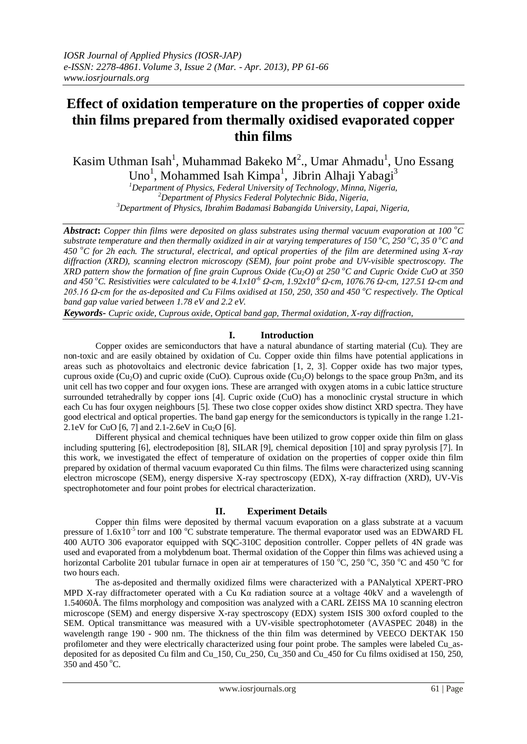# **Effect of oxidation temperature on the properties of copper oxide thin films prepared from thermally oxidised evaporated copper thin films**

Kasim Uthman Isah<sup>1</sup>, Muhammad Bakeko M<sup>2</sup>., Umar Ahmadu<sup>1</sup>, Uno Essang Uno<sup>1</sup>, Mohammed Isah Kimpa<sup>1</sup>, Jibrin Alhaji Yabagi<sup>3</sup>

*<sup>1</sup>Department of Physics, Federal University of Technology, Minna, Nigeria, <sup>2</sup>Department of Physics Federal Polytechnic Bida, Nigeria, <sup>3</sup>Department of Physics, Ibrahim Badamasi Babangida University, Lapai, Nigeria,* 

*Abstract***:** *Copper thin films were deposited on glass substrates using thermal vacuum evaporation at 100 <sup>o</sup>C substrate temperature and then thermally oxidized in air at varying temperatures of 150 °C, 250 °C, 35 0 °C and*  $\overline{a}$ *450 <sup>o</sup>C for 2h each. The structural, electrical, and optical properties of the film are determined using X-ray diffraction (XRD), scanning electron microscopy (SEM), four point probe and UV-visible spectroscopy. The XRD pattern show the formation of fine grain Cuprous Oxide (Cu<sub>2</sub>O) at 250 °C and Cupric Oxide CuO at 350 and 450 <sup>o</sup>C. Resistivities were calculated to be 4.1x10-6 Ω-cm, 1.92x10-6 Ω-cm, 1076.76 Ω-cm, 127.51 Ω-cm and 205.16 Ω-cm for the as-deposited and Cu Films oxidised at 150, 250, 350 and 450 <sup>o</sup>C respectively. The Optical band gap value varied between 1.78 eV and 2.2 eV.*

*Keywords- Cupric oxide, Cuprous oxide, Optical band gap, Thermal oxidation, X-ray diffraction,* 

## **I. Introduction**

Copper oxides are semiconductors that have a natural abundance of starting material (Cu). They are non-toxic and are easily obtained by oxidation of Cu. Copper oxide thin films have potential applications in areas such as photovoltaics and electronic device fabrication [1, 2, 3]. Copper oxide has two major types, cuprous oxide (Cu<sub>2</sub>O) and cupric oxide (CuO). Cuprous oxide (Cu<sub>2</sub>O) belongs to the space group Pn3m, and its unit cell has two copper and four oxygen ions. These are arranged with oxygen atoms in a cubic lattice structure surrounded tetrahedrally by copper ions [4]. Cupric oxide (CuO) has a monoclinic crystal structure in which each Cu has four oxygen neighbours [5]. These two close copper oxides show distinct XRD spectra. They have good electrical and optical properties. The band gap energy for the semiconductors is typically in the range 1.21- 2.1eV for CuO [6, 7] and 2.1-2.6eV in Cu<sub>2</sub>O [6].

Different physical and chemical techniques have been utilized to grow copper oxide thin film on glass including sputtering [6], electrodeposition [8], SILAR [9], chemical deposition [10] and spray pyrolysis [7]. In this work, we investigated the effect of temperature of oxidation on the properties of copper oxide thin film prepared by oxidation of thermal vacuum evaporated Cu thin films. The films were characterized using scanning electron microscope (SEM), energy dispersive X-ray spectroscopy (EDX), X-ray diffraction (XRD), UV-Vis spectrophotometer and four point probes for electrical characterization.

#### **II. Experiment Details**

Copper thin films were deposited by thermal vacuum evaporation on a glass substrate at a vacuum pressure of  $1.6x10^{-5}$  torr and 100 °C substrate temperature. The thermal evaporator used was an EDWARD FL 400 AUTO 306 evaporator equipped with SQC-310C deposition controller. Copper pellets of 4N grade was used and evaporated from a molybdenum boat. Thermal oxidation of the Copper thin films was achieved using a horizontal Carbolite 201 tubular furnace in open air at temperatures of 150  $^{\circ}$ C, 250  $^{\circ}$ C, 350  $^{\circ}$ C and 450  $^{\circ}$ C for two hours each.

The as-deposited and thermally oxidized films were characterized with a PANalytical XPERT-PRO MPD X-ray diffractometer operated with a Cu Kα radiation source at a voltage 40kV and a wavelength of 1.54060Å. The films morphology and composition was analyzed with a CARL ZEISS MA 10 scanning electron microscope (SEM) and energy dispersive X-ray spectroscopy (EDX) system ISIS 300 oxford coupled to the SEM. Optical transmittance was measured with a UV-visible spectrophotometer (AVASPEC 2048) in the wavelength range 190 - 900 nm. The thickness of the thin film was determined by VEECO DEKTAK 150 profilometer and they were electrically characterized using four point probe. The samples were labeled Cu\_asdeposited for as deposited Cu film and Cu\_150, Cu\_250, Cu\_350 and Cu\_450 for Cu films oxidised at 150, 250, 350 and 450 °C.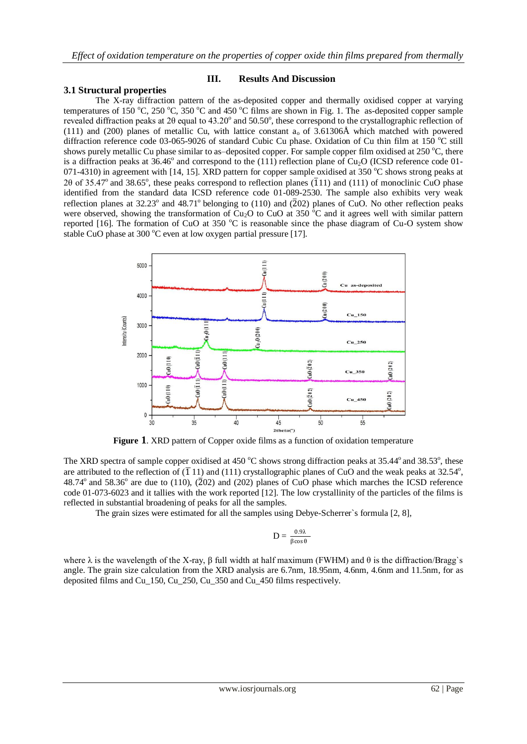#### **3.1 Structural properties**

#### **III. Results And Discussion**

The X-ray diffraction pattern of the as-deposited copper and thermally oxidised copper at varying temperatures of 150 °C, 250 °C, 350 °C and 450 °C films are shown in Fig. 1. The as-deposited copper sample revealed diffraction peaks at 2 $\theta$  equal to 43.20° and 50.50°, these correspond to the crystallographic reflection of (111) and (200) planes of metallic Cu, with lattice constant  $a<sub>o</sub>$  of 3.61306Å which matched with powered diffraction reference code 03-065-9026 of standard Cubic Cu phase. Oxidation of Cu thin film at 150  $^{\circ}$ C still shows purely metallic Cu phase similar to as-deposited copper. For sample copper film oxidised at 250  $^{\circ}$ C, there is a diffraction peaks at  $36.46^{\circ}$  and correspond to the (111) reflection plane of Cu<sub>2</sub>O (ICSD reference code 01-071-4310) in agreement with  $[14, 15]$ . XRD pattern for copper sample oxidised at 350  $^{\circ}$ C shows strong peaks at 20 of 35.47° and 38.65°, these peaks correspond to reflection planes ( $\overline{1}11$ ) and (111) of monoclinic CuO phase identified from the standard data ICSD reference code 01-089-2530. The sample also exhibits very weak reflection planes at  $32.23^{\circ}$  and  $48.71^{\circ}$  belonging to (110) and ( $\overline{2}02$ ) planes of CuO. No other reflection peaks were observed, showing the transformation of  $Cu<sub>2</sub>O$  to CuO at 350 °C and it agrees well with similar pattern reported [16]. The formation of CuO at 350  $^{\circ}$ C is reasonable since the phase diagram of Cu-O system show stable CuO phase at 300  $^{\circ}$ C even at low oxygen partial pressure [17].



**Figure 1**. XRD pattern of Copper oxide films as a function of oxidation temperature

The XRD spectra of sample copper oxidised at 450 °C shows strong diffraction peaks at 35.44° and 38.53°, these are attributed to the reflection of  $(\overline{1} 11)$  and  $(111)$  crystallographic planes of CuO and the weak peaks at 32.54°,  $48.74^{\circ}$  and  $58.36^{\circ}$  are due to (110), ( $\overline{2}02$ ) and (202) planes of CuO phase which marches the ICSD reference code 01-073-6023 and it tallies with the work reported [12]. The low crystallinity of the particles of the films is reflected in substantial broadening of peaks for all the samples.

The grain sizes were estimated for all the samples using Debye-Scherrer`s formula [2, 8],

$$
D = \frac{0.9\lambda}{\beta \cos \theta}
$$

where  $\lambda$  is the wavelength of the X-ray,  $\beta$  full width at half maximum (FWHM) and  $\theta$  is the diffraction/Bragg`s angle. The grain size calculation from the XRD analysis are 6.7nm, 18.95nm, 4.6nm, 4.6nm and 11.5nm, for as deposited films and Cu\_150, Cu\_250, Cu\_350 and Cu\_450 films respectively.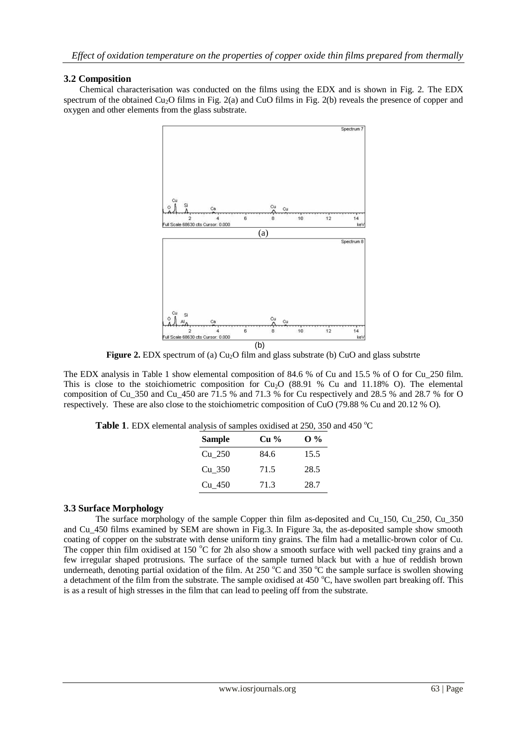## **3.2 Composition**

Chemical characterisation was conducted on the films using the EDX and is shown in Fig. 2. The EDX spectrum of the obtained  $Cu<sub>2</sub>O$  films in Fig. 2(a) and CuO films in Fig. 2(b) reveals the presence of copper and oxygen and other elements from the glass substrate.



**Figure 2.** EDX spectrum of (a) Cu<sub>2</sub>O film and glass substrate (b) CuO and glass substrte

The EDX analysis in Table 1 show elemental composition of 84.6 % of Cu and 15.5 % of O for Cu 250 film. This is close to the stoichiometric composition for  $Cu<sub>2</sub>O$  (88.91 % Cu and 11.18% O). The elemental composition of Cu\_350 and Cu\_450 are 71.5 % and 71.3 % for Cu respectively and 28.5 % and 28.7 % for O respectively. These are also close to the stoichiometric composition of CuO (79.88 % Cu and 20.12 % O).

| Table 1. EDX elemental analysis of samples oxidised at 250, 350 and 450 °C |  |  |  |  |  |  |
|----------------------------------------------------------------------------|--|--|--|--|--|--|
|----------------------------------------------------------------------------|--|--|--|--|--|--|

| <b>Sample</b> | Cu <sup>9</sup> / <sub>0</sub> | $\mathbf{0}$ % |
|---------------|--------------------------------|----------------|
| Cu 250        | 84.6                           | 15.5           |
| Cu 350        | 71.5                           | 28.5           |
| Cu 450        | 71.3                           | 28.7           |

## **3.3 Surface Morphology**

The surface morphology of the sample Copper thin film as-deposited and Cu\_150, Cu\_250, Cu\_350 and Cu\_450 films examined by SEM are shown in Fig.3. In Figure 3a, the as-deposited sample show smooth coating of copper on the substrate with dense uniform tiny grains. The film had a metallic-brown color of Cu. The copper thin film oxidised at 150  $\degree$ C for 2h also show a smooth surface with well packed tiny grains and a few irregular shaped protrusions. The surface of the sample turned black but with a hue of reddish brown underneath, denoting partial oxidation of the film. At 250  $^{\circ}$ C and 350  $^{\circ}$ C the sample surface is swollen showing a detachment of the film from the substrate. The sample oxidised at 450  $^{\circ}$ C, have swollen part breaking off. This is as a result of high stresses in the film that can lead to peeling off from the substrate.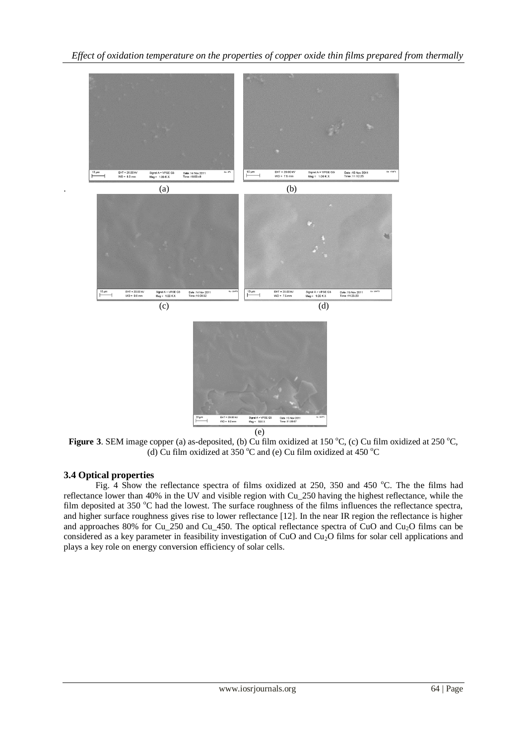

 $\overline{e}$ 

**Figure** 3. SEM image copper (a) as-deposited, (b) Cu film oxidized at 150  $^{\circ}$ C, (c) Cu film oxidized at 250  $^{\circ}$ C, (d) Cu film oxidized at 350  $^{\circ}$ C and (e) Cu film oxidized at 450  $^{\circ}$ C

## **3.4 Optical properties**

Fig.  $\overline{4}$  Show the reflectance spectra of films oxidized at 250, 350 and 450 °C. The the films had reflectance lower than 40% in the UV and visible region with Cu\_250 having the highest reflectance, while the film deposited at 350  $^{\circ}$ C had the lowest. The surface roughness of the films influences the reflectance spectra, and higher surface roughness gives rise to lower reflectance [12]. In the near IR region the reflectance is higher and approaches 80% for Cu<sub>\_250</sub> and Cu<sub>\_450</sub>. The optical reflectance spectra of CuO and Cu<sub>2</sub>O films can be considered as a key parameter in feasibility investigation of CuO and Cu<sub>2</sub>O films for solar cell applications and plays a key role on energy conversion efficiency of solar cells.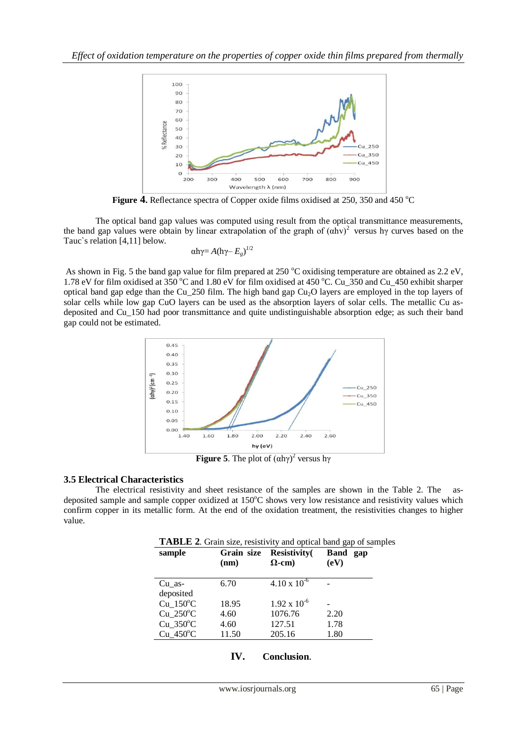

**Figure 4.** Reflectance spectra of Copper oxide films oxidised at 250, 350 and 450 °C

The optical band gap values was computed using result from the optical transmittance measurements, the band gap values were obtain by linear extrapolation of the graph of  $(\alpha hv)^2$  versus hy curves based on the Tauc`s relation [4,11] below.

$$
\alpha h\gamma = A(h\gamma - E_g)^{1/2}
$$

As shown in Fig. 5 the band gap value for film prepared at  $250^{\circ}$ C oxidising temperature are obtained as  $2.2 \text{ eV}$ , 1.78 eV for film oxidised at 350  $^{\circ}$ C and 1.80 eV for film oxidised at 450  $^{\circ}$ C. Cu\_350 and Cu\_450 exhibit sharper optical band gap edge than the Cu\_250 film. The high band gap  $Cu<sub>2</sub>O$  layers are employed in the top layers of solar cells while low gap CuO layers can be used as the absorption layers of solar cells. The metallic Cu asdeposited and Cu\_150 had poor transmittance and quite undistinguishable absorption edge; as such their band gap could not be estimated.



**Figure 5.** The plot of  $(\alpha h \gamma)^2$  versus  $h \gamma$ 

## **3.5 Electrical Characteristics**

The electrical resistivity and sheet resistance of the samples are shown in the Table 2. The asdeposited sample and sample copper oxidized at 150°C shows very low resistance and resistivity values which confirm copper in its metallic form. At the end of the oxidation treatment, the resistivities changes to higher value.

| TABLE 2. Grain size, resistivity and optical band gap of samples |
|------------------------------------------------------------------|
|------------------------------------------------------------------|

| sample                | Grain size<br>(nm) | <b>Resistivity</b><br>$\Omega$ -cm) | Band<br>gap<br>(eV) |
|-----------------------|--------------------|-------------------------------------|---------------------|
| Cu as-                | 6.70               | $4.10 \times 10^{-6}$               |                     |
| deposited             |                    |                                     |                     |
| $Cu$ 150 $^{\circ}$ C | 18.95              | $1.92 \times 10^{-6}$               |                     |
| $Cu$ 250 $^{\circ}$ C | 4.60               | 1076.76                             | 2.20                |
| $Cu$ 350 $^{\circ}$ C | 4.60               | 127.51                              | 1.78                |
| $Cu$ 450 $^{\circ}$ C | 11.50              | 205.16                              | 1.80                |
|                       |                    |                                     |                     |